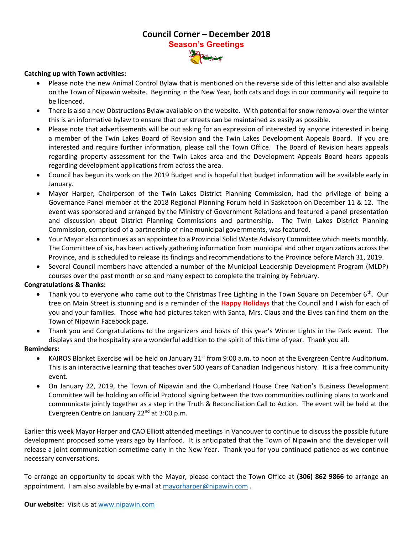# **Council Corner – December 2018 Season's Greetings**

## **Catching up with Town activities:**

- Please note the new Animal Control Bylaw that [is me](https://lillian888.wordpress.com/category/christmas)ntioned on the reverse side of this letter and also available on the Town of Nipawin website. Beginning in the New Year, both cats and dogs in our community will require to be licenced.
- There is also a new Obstructions Bylaw availabl[e on the we](https://creativecommons.org/licenses/by-nc-nd/3.0/)bsite. With potential for snow removal over the winter this is an informative bylaw to ensure that our streets can be maintained as easily as possible.
- Please note that advertisements will be out asking for an expression of interested by anyone interested in being a member of the Twin Lakes Board of Revision and the Twin Lakes Development Appeals Board. If you are interested and require further information, please call the Town Office. The Board of Revision hears appeals regarding property assessment for the Twin Lakes area and the Development Appeals Board hears appeals regarding development applications from across the area.
- Council has begun its work on the 2019 Budget and is hopeful that budget information will be available early in January.
- Mayor Harper, Chairperson of the Twin Lakes District Planning Commission, had the privilege of being a Governance Panel member at the 2018 Regional Planning Forum held in Saskatoon on December 11 & 12. The event was sponsored and arranged by the Ministry of Government Relations and featured a panel presentation and discussion about District Planning Commissions and partnership. The Twin Lakes District Planning Commission, comprised of a partnership of nine municipal governments, was featured.
- Your Mayor also continues as an appointee to a Provincial Solid Waste Advisory Committee which meets monthly. The Committee of six, has been actively gathering information from municipal and other organizations across the Province, and is scheduled to release its findings and recommendations to the Province before March 31, 2019.
- Several Council members have attended a number of the Municipal Leadership Development Program (MLDP) courses over the past month or so and many expect to complete the training by February.

## **Congratulations & Thanks:**

- Thank you to everyone who came out to the Christmas Tree Lighting in the Town Square on December  $6<sup>th</sup>$ . Our tree on Main Street is stunning and is a reminder of the **Happy Holidays** that the Council and I wish for each of you and your families. Those who had pictures taken with Santa, Mrs. Claus and the Elves can find them on the Town of Nipawin Facebook page.
- Thank you and Congratulations to the organizers and hosts of this year's Winter Lights in the Park event. The displays and the hospitality are a wonderful addition to the spirit of this time of year. Thank you all.

#### **Reminders:**

- KAIROS Blanket Exercise will be held on January 31<sup>st</sup> from 9:00 a.m. to noon at the Evergreen Centre Auditorium. This is an interactive learning that teaches over 500 years of Canadian Indigenous history. It is a free community event.
- On January 22, 2019, the Town of Nipawin and the Cumberland House Cree Nation's Business Development Committee will be holding an official Protocol signing between the two communities outlining plans to work and communicate jointly together as a step in the Truth & Reconciliation Call to Action. The event will be held at the Evergreen Centre on January 22<sup>nd</sup> at 3:00 p.m.

Earlier this week Mayor Harper and CAO Elliott attended meetings in Vancouver to continue to discuss the possible future development proposed some years ago by Hanfood. It is anticipated that the Town of Nipawin and the developer will release a joint communication sometime early in the New Year. Thank you for you continued patience as we continue necessary conversations.

To arrange an opportunity to speak with the Mayor, please contact the Town Office at **(306) 862 9866** to arrange an appointment. I am also available by e-mail a[t mayorharper@nipawin.com](mailto:mayorharper@nipawin.com) .